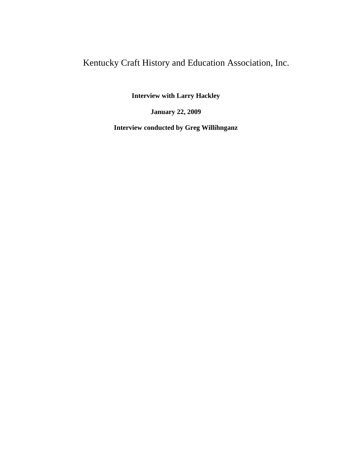## Kentucky Craft History and Education Association, Inc.

**Interview with Larry Hackley**

**January 22, 2009**

**Interview conducted by Greg Willihnganz**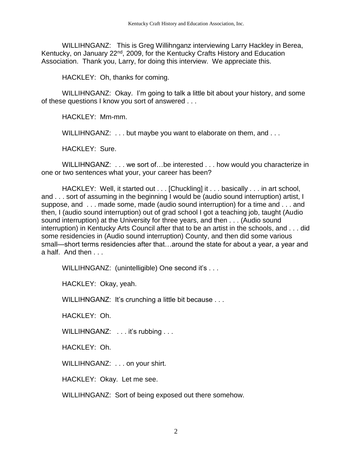WILLIHNGANZ: This is Greg Willihnganz interviewing Larry Hackley in Berea, Kentucky, on January 22<sup>nd</sup>, 2009, for the Kentucky Crafts History and Education Association. Thank you, Larry, for doing this interview. We appreciate this.

HACKLEY: Oh, thanks for coming.

WILLIHNGANZ: Okay. I'm going to talk a little bit about your history, and some of these questions I know you sort of answered . . .

HACKLEY: Mm-mm.

WILLIHNGANZ: . . . but maybe you want to elaborate on them, and . . .

HACKLEY: Sure.

WILLIHNGANZ: . . . we sort of . . be interested . . . how would you characterize in one or two sentences what your, your career has been?

HACKLEY: Well, it started out . . . [Chuckling] it . . . basically . . . in art school, and . . . sort of assuming in the beginning I would be (audio sound interruption) artist, I suppose, and . . . made some, made (audio sound interruption) for a time and . . . and then, I (audio sound interruption) out of grad school I got a teaching job, taught (Audio sound interruption) at the University for three years, and then . . . (Audio sound interruption) in Kentucky Arts Council after that to be an artist in the schools, and . . . did some residencies in (Audio sound interruption) County, and then did some various small—short terms residencies after that…around the state for about a year, a year and a half. And then

WILLIHNGANZ: (unintelligible) One second it's ...

HACKLEY: Okay, yeah.

WILLIHNGANZ: It's crunching a little bit because . . .

HACKLEY: Oh.

WILLIHNGANZ: . . . it's rubbing . . .

HACKLEY: Oh.

WILLIHNGANZ: . . . on your shirt.

HACKLEY: Okay. Let me see.

WILLIHNGANZ: Sort of being exposed out there somehow.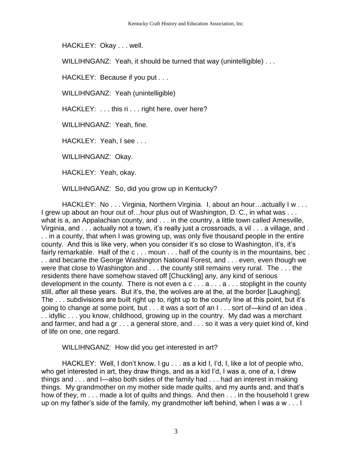HACKLEY: Okay . . . well.

WILLIHNGANZ: Yeah, it should be turned that way (unintelligible)...

HACKLEY: Because if you put . . .

WILLIHNGANZ: Yeah (unintelligible)

HACKLEY: . . . this ri . . . right here, over here?

WILLIHNGANZ: Yeah, fine.

HACKLEY: Yeah, I see . . .

WILLIHNGANZ: Okay.

HACKLEY: Yeah, okay.

WILLIHNGANZ: So, did you grow up in Kentucky?

HACKLEY: No . . . Virginia, Northern Virginia. I, about an hour…actually I w . . . I grew up about an hour out of... hour plus out of Washington, D. C., in what was ... what is a, an Appalachian county, and . . . in the country, a little town called Amesville, Virginia, and . . . actually not a town, it's really just a crossroads, a vil . . . a village, and . . . in a county, that when I was growing up, was only five thousand people in the entire county. And this is like very, when you consider it's so close to Washington, it's, it's fairly remarkable. Half of the c . . . moun . . . half of the county is in the mountains, bec . . . and became the George Washington National Forest, and . . . even, even though we were that close to Washington and . . . the county still remains very rural. The . . . the residents there have somehow staved off [Chuckling] any, any kind of serious development in the county. There is not even  $a \circ \ldots a \ldots a \ldots$  stoplight in the county still, after all these years. But it's, the, the wolves are at the, at the border [Laughing]. The . . . subdivisions are built right up to, right up to the county line at this point, but it's going to change at some point, but . . . it was a sort of an I . . . sort of—kind of an idea. . . idyllic . . . you know, childhood, growing up in the country. My dad was a merchant and farmer, and had a gr . . . a general store, and . . . so it was a very quiet kind of, kind of life on one, one regard.

WILLIHNGANZ: How did you get interested in art?

HACKLEY: Well, I don't know, I gu . . . as a kid I, I'd, I, like a lot of people who, who get interested in art, they draw things, and as a kid I'd, I was a, one of a, I drew things and . . . and I—also both sides of the family had . . . had an interest in making things. My grandmother on my mother side made quilts, and my aunts and, and that's how of they, m . . . made a lot of quilts and things. And then . . . in the household I grew up on my father's side of the family, my grandmother left behind, when I was a w . . . I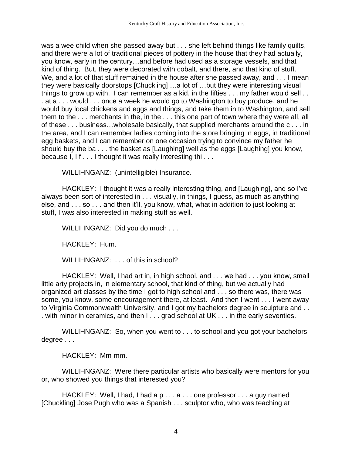was a wee child when she passed away but . . . she left behind things like family quilts, and there were a lot of traditional pieces of pottery in the house that they had actually, you know, early in the century…and before had used as a storage vessels, and that kind of thing. But, they were decorated with cobalt, and there, and that kind of stuff. We, and a lot of that stuff remained in the house after she passed away, and . . . I mean they were basically doorstops [Chuckling] …a lot of …but they were interesting visual things to grow up with. I can remember as a kid, in the fifties . . . my father would sell . . . at a . . . would . . . once a week he would go to Washington to buy produce, and he would buy local chickens and eggs and things, and take them in to Washington, and sell them to the . . . merchants in the, in the . . . this one part of town where they were all, all of these . . . business…wholesale basically, that supplied merchants around the c . . . in the area, and I can remember ladies coming into the store bringing in eggs, in traditional egg baskets, and I can remember on one occasion trying to convince my father he should buy the ba . . . the basket as [Laughing] well as the eggs [Laughing] you know, because I, I f . . . I thought it was really interesting thi . . .

WILLIHNGANZ: (unintelligible) Insurance.

HACKLEY: I thought it was a really interesting thing, and [Laughing], and so I've always been sort of interested in . . . visually, in things, I guess, as much as anything else, and . . . so . . . and then it'll, you know, what, what in addition to just looking at stuff, I was also interested in making stuff as well.

WILLIHNGANZ: Did you do much . . .

HACKLEY: Hum.

WILLIHNGANZ: . . . of this in school?

HACKLEY: Well, I had art in, in high school, and . . . we had . . . you know, small little arty projects in, in elementary school, that kind of thing, but we actually had organized art classes by the time I got to high school and . . . so there was, there was some, you know, some encouragement there, at least. And then I went . . . I went away to Virginia Commonwealth University, and I got my bachelors degree in sculpture and . . . with minor in ceramics, and then I . . . grad school at UK . . . in the early seventies.

WILLIHNGANZ: So, when you went to . . . to school and you got your bachelors degree . . .

HACKLEY: Mm-mm.

WILLIHNGANZ: Were there particular artists who basically were mentors for you or, who showed you things that interested you?

HACKLEY: Well, I had, I had a p . . . a . . . one professor . . . a guy named [Chuckling] Jose Pugh who was a Spanish . . . sculptor who, who was teaching at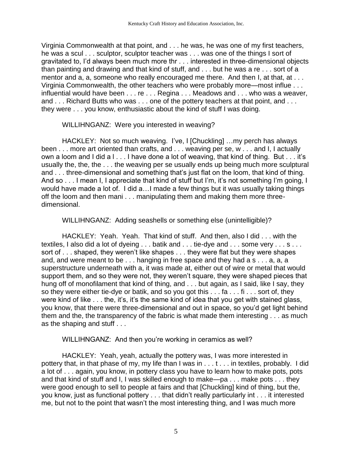Virginia Commonwealth at that point, and . . . he was, he was one of my first teachers, he was a scul . . . sculptor, sculptor teacher was . . . was one of the things I sort of gravitated to, I'd always been much more thr . . . interested in three-dimensional objects than painting and drawing and that kind of stuff, and . . . but he was a re . . . sort of a mentor and a, a, someone who really encouraged me there. And then I, at that, at ... Virginia Commonwealth, the other teachers who were probably more—most influe . . . influential would have been . . . re . . . Regina . . . Meadows and . . . who was a weaver, and . . . Richard Butts who was . . . one of the pottery teachers at that point, and . . . they were . . . you know, enthusiastic about the kind of stuff I was doing.

WILLIHNGANZ: Were you interested in weaving?

HACKLEY: Not so much weaving. I've, I [Chuckling] …my perch has always been . . . more art oriented than crafts, and . . . weaving per se, w . . . and I, I actually own a loom and I did a I... I have done a lot of weaving, that kind of thing. But ... it's usually the, the, the . . . the weaving per se usually ends up being much more sculptural and . . . three-dimensional and something that's just flat on the loom, that kind of thing. And so . . . I mean I, I appreciate that kind of stuff but I'm, it's not something I'm going, I would have made a lot of. I did a…I made a few things but it was usually taking things off the loom and then mani . . . manipulating them and making them more threedimensional.

WILLIHNGANZ: Adding seashells or something else (unintelligible)?

HACKLEY: Yeah. Yeah. That kind of stuff. And then, also I did . . . with the textiles, I also did a lot of dyeing . . . batik and . . . tie-dye and . . . some very . . . s . . . sort of . . . shaped, they weren't like shapes . . . they were flat but they were shapes and, and were meant to be . . . hanging in free space and they had a s . . . a, a, a superstructure underneath with a, it was made at, either out of wire or metal that would support them, and so they were not, they weren't square, they were shaped pieces that hung off of monofilament that kind of thing, and . . . but again, as I said, like I say, they so they were either tie-dye or batik, and so you got this . . . fa . . . fi . . . sort of, they were kind of like . . . the, it's, it's the same kind of idea that you get with stained glass, you know, that there were three-dimensional and out in space, so you'd get light behind them and the, the transparency of the fabric is what made them interesting . . . as much as the shaping and stuff . . .

## WILLIHNGANZ: And then you're working in ceramics as well?

HACKLEY: Yeah, yeah, actually the pottery was, I was more interested in pottery that, in that phase of my, my life than I was in . . . t . . . in textiles, probably. I did a lot of . . . again, you know, in pottery class you have to learn how to make pots, pots and that kind of stuff and I, I was skilled enough to make—pa . . . make pots . . . they were good enough to sell to people at fairs and that [Chuckling] kind of thing, but the, you know, just as functional pottery . . . that didn't really particularly int . . . it interested me, but not to the point that wasn't the most interesting thing, and I was much more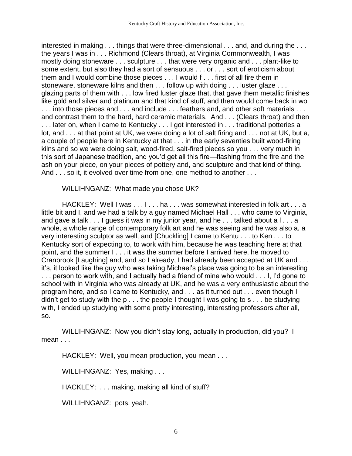interested in making . . . things that were three-dimensional . . . and, and during the . . . the years I was in . . . Richmond (Clears throat), at Virginia Commonwealth, I was mostly doing stoneware . . . sculpture . . . that were very organic and . . . plant-like to some extent, but also they had a sort of sensuous . . . or . . . sort of eroticism about them and I would combine those pieces . . . I would f . . . first of all fire them in stoneware, stoneware kilns and then . . . follow up with doing . . . luster glaze . . . glazing parts of them with . . . low fired luster glaze that, that gave them metallic finishes like gold and silver and platinum and that kind of stuff, and then would come back in wo ... into those pieces and ... and include ... feathers and, and other soft materials ... and contrast them to the hard, hard ceramic materials. And . . . (Clears throat) and then ... later on, when I came to Kentucky ... I got interested in ... traditional potteries a lot, and . . . at that point at UK, we were doing a lot of salt firing and . . . not at UK, but a, a couple of people here in Kentucky at that . . . in the early seventies built wood-firing kilns and so we were doing salt, wood-fired, salt-fired pieces so you . . . very much in this sort of Japanese tradition, and you'd get all this fire—flashing from the fire and the ash on your piece, on your pieces of pottery and, and sculpture and that kind of thing. And . . . so it, it evolved over time from one, one method to another . . .

WILLIHNGANZ: What made you chose UK?

HACKLEY: Well I was . . . I . . . ha . . . was somewhat interested in folk art . . . a little bit and I, and we had a talk by a guy named Michael Hall . . . who came to Virginia, and gave a talk . . . I guess it was in my junior year, and he . . . talked about a l . . . a whole, a whole range of contemporary folk art and he was seeing and he was also a, a very interesting sculptor as well, and [Chuckling] I came to Kentu . . . to Ken . . . to Kentucky sort of expecting to, to work with him, because he was teaching here at that point, and the summer I . . . it was the summer before I arrived here, he moved to Cranbrook [Laughing] and, and so I already, I had already been accepted at UK and . . . it's, it looked like the guy who was taking Michael's place was going to be an interesting . . . person to work with, and I actually had a friend of mine who would . . . I, I'd gone to school with in Virginia who was already at UK, and he was a very enthusiastic about the program here, and so I came to Kentucky, and . . . as it turned out . . . even though I didn't get to study with the p . . . the people I thought I was going to s . . . be studying with, I ended up studying with some pretty interesting, interesting professors after all, so.

WILLIHNGANZ: Now you didn't stay long, actually in production, did you? I mean . . .

HACKLEY: Well, you mean production, you mean . . .

WILLIHNGANZ: Yes, making . . .

HACKLEY: . . . making, making all kind of stuff?

WILLIHNGANZ: pots, yeah.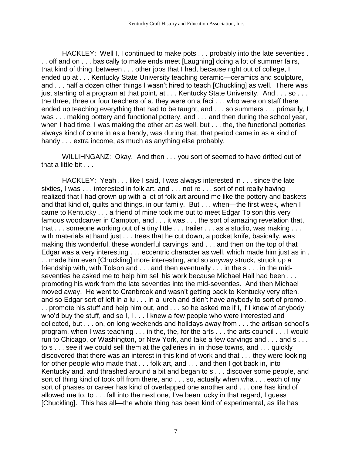HACKLEY: Well I, I continued to make pots . . . probably into the late seventies . . . off and on . . . basically to make ends meet [Laughing] doing a lot of summer fairs, that kind of thing, between . . . other jobs that I had, because right out of college, I ended up at . . . Kentucky State University teaching ceramic—ceramics and sculpture, and . . . half a dozen other things I wasn't hired to teach [Chuckling] as well. There was just starting of a program at that point, at . . . Kentucky State University. And . . . so . . . the three, three or four teachers of a, they were on a faci . . . who were on staff there ended up teaching everything that had to be taught, and . . . so summers . . . primarily, I was . . . making pottery and functional pottery, and . . . and then during the school year, when I had time, I was making the other art as well, but . . . the, the functional potteries always kind of come in as a handy, was during that, that period came in as a kind of handy . . . extra income, as much as anything else probably.

WILLIHNGANZ: Okay. And then . . . you sort of seemed to have drifted out of that a little bit . . .

HACKLEY: Yeah . . . like I said, I was always interested in . . . since the late sixties, I was . . . interested in folk art, and . . . not re . . . sort of not really having realized that I had grown up with a lot of folk art around me like the pottery and baskets and that kind of, quilts and things, in our family. But . . . when—the first week, when I came to Kentucky . . . a friend of mine took me out to meet Edgar Tolson this very famous woodcarver in Campton, and . . . it was . . . the sort of amazing revelation that, that . . . someone working out of a tiny little . . . trailer . . . as a studio, was making . . . with materials at hand just . . . trees that he cut down, a pocket knife, basically, was making this wonderful, these wonderful carvings, and . . . and then on the top of that Edgar was a very interesting . . . eccentric character as well, which made him just as in . . . made him even [Chuckling] more interesting, and so anyway struck, struck up a friendship with, with Tolson and  $\dots$  and then eventually  $\dots$  in the s  $\dots$  in the midseventies he asked me to help him sell his work because Michael Hall had been . . . promoting his work from the late seventies into the mid-seventies. And then Michael moved away. He went to Cranbrook and wasn't getting back to Kentucky very often, and so Edgar sort of left in a lu . . . in a lurch and didn't have anybody to sort of promo . . . promote his stuff and help him out, and . . . so he asked me if I, if I knew of anybody who'd buy the stuff, and so I, I . . . I knew a few people who were interested and collected, but . . . on, on long weekends and holidays away from . . . the artisan school's program, when I was teaching . . . in the, the, for the arts . . . the arts council . . . I would run to Chicago, or Washington, or New York, and take a few carvings and . . . and s . . . to s . . . see if we could sell them at the galleries in, in those towns, and . . . quickly discovered that there was an interest in this kind of work and that . . . they were looking for other people who made that . . . folk art, and . . . and then I got back in, into Kentucky and, and thrashed around a bit and began to s . . . discover some people, and sort of thing kind of took off from there, and . . . so, actually when wha . . . each of my sort of phases or career has kind of overlapped one another and . . . one has kind of allowed me to, to . . . fall into the next one, I've been lucky in that regard, I guess [Chuckling]. This has all—the whole thing has been kind of experimental, as life has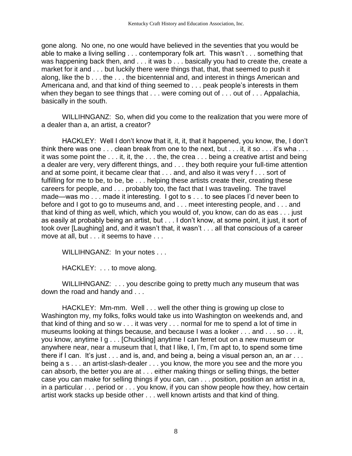gone along. No one, no one would have believed in the seventies that you would be able to make a living selling . . . contemporary folk art. This wasn't . . . something that was happening back then, and . . . it was b . . . basically you had to create the, create a market for it and . . . but luckily there were things that, that, that seemed to push it along, like the b . . . the . . . the bicentennial and, and interest in things American and Americana and, and that kind of thing seemed to . . . peak people's interests in them when they began to see things that . . . were coming out of . . . out of . . . Appalachia, basically in the south.

WILLIHNGANZ: So, when did you come to the realization that you were more of a dealer than a, an artist, a creator?

HACKLEY: Well I don't know that it, it, it, that it happened, you know, the, I don't think there was one . . . clean break from one to the next, but . . . it, it so . . . it's wha . . . it was some point the . . . it, it, the . . . the, the crea . . . being a creative artist and being a dealer are very, very different things, and . . . they both require your full-time attention and at some point, it became clear that . . . and, and also it was very f . . . sort of fulfilling for me to be, to be, be . . . helping these artists create their, creating these careers for people, and . . . probably too, the fact that I was traveling. The travel made—was mo . . . made it interesting. I got to s . . . to see places I'd never been to before and I got to go to museums and, and . . . meet interesting people, and . . . and that kind of thing as well, which, which you would of, you know, can do as eas . . . just as easily at probably being an artist, but . . . I don't know, at some point, it just, it sort of took over [Laughing] and, and it wasn't that, it wasn't . . . all that conscious of a career move at all, but . . . it seems to have . . .

WILLIHNGANZ: In your notes . . .

HACKLEY: . . . to move along.

WILLIHNGANZ: . . . you describe going to pretty much any museum that was down the road and handy and . . .

HACKLEY: Mm-mm. Well . . . well the other thing is growing up close to Washington my, my folks, folks would take us into Washington on weekends and, and that kind of thing and so w . . . it was very . . . normal for me to spend a lot of time in museums looking at things because, and because I was a looker . . . and . . . so . . . it, you know, anytime I g . . . [Chuckling] anytime I can ferret out on a new museum or anywhere near, near a museum that I, that I like, I, I'm, I'm apt to, to spend some time there if I can. It's just . . . and is, and, and being a, being a visual person an, an ar . . . being a s . . . an artist-slash-dealer . . . you know, the more you see and the more you can absorb, the better you are at . . . either making things or selling things, the better case you can make for selling things if you can, can . . . position, position an artist in a, in a particular . . . period or . . . you know, if you can show people how they, how certain artist work stacks up beside other . . . well known artists and that kind of thing.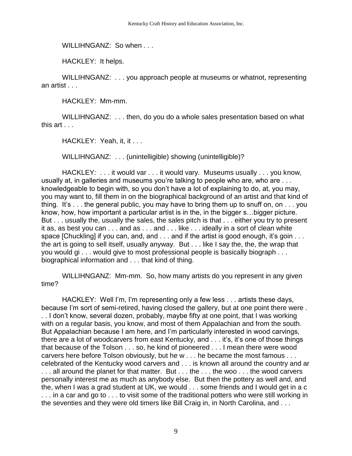WILLIHNGANZ: So when . . .

HACKLEY: It helps.

WILLIHNGANZ: . . . you approach people at museums or whatnot, representing an artist . . .

HACKLEY: Mm-mm.

WILLIHNGANZ: . . . then, do you do a whole sales presentation based on what this art . . .

HACKLEY: Yeah, it, it . . .

WILLIHNGANZ: . . . (unintelligible) showing (unintelligible)?

HACKLEY: . . . it would var . . . it would vary. Museums usually . . . you know, usually at, in galleries and museums you're talking to people who are, who are ... knowledgeable to begin with, so you don't have a lot of explaining to do, at, you may, you may want to, fill them in on the biographical background of an artist and that kind of thing. It's . . . the general public, you may have to bring them up to snuff on, on . . . you know, how, how important a particular artist is in the, in the bigger s…bigger picture. But . . . usually the, usually the sales, the sales pitch is that . . . either you try to present it as, as best you can . . . and as . . . and . . . like . . . ideally in a sort of clean white space [Chuckling] if you can, and, and . . . and if the artist is good enough, it's goin . . . the art is going to sell itself, usually anyway. But . . . like I say the, the, the wrap that you would gi . . . would give to most professional people is basically biograph . . . biographical information and . . . that kind of thing.

WILLIHNGANZ: Mm-mm. So, how many artists do you represent in any given time?

HACKLEY: Well I'm, I'm representing only a few less . . . artists these days, because I'm sort of semi-retired, having closed the gallery, but at one point there were . . . I don't know, several dozen, probably, maybe fifty at one point, that I was working with on a regular basis, you know, and most of them Appalachian and from the south. But Appalachian because I am here, and I'm particularly interested in wood carvings, there are a lot of woodcarvers from east Kentucky, and . . . it's, it's one of those things that because of the Tolson . . . so, he kind of pioneered . . . I mean there were wood carvers here before Tolson obviously, but he w . . . he became the most famous . . . celebrated of the Kentucky wood carvers and . . . is known all around the country and ar ... all around the planet for that matter. But ... the ... the woo ... the wood carvers personally interest me as much as anybody else. But then the pottery as well and, and the, when I was a grad student at UK, we would . . . some friends and I would get in a c ... in a car and go to ... to visit some of the traditional potters who were still working in the seventies and they were old timers like Bill Craig in, in North Carolina, and . . .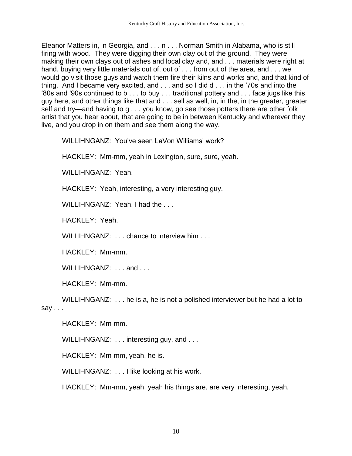Eleanor Matters in, in Georgia, and . . . n . . . Norman Smith in Alabama, who is still firing with wood. They were digging their own clay out of the ground. They were making their own clays out of ashes and local clay and, and . . . materials were right at hand, buying very little materials out of, out of . . . from out of the area, and . . . we would go visit those guys and watch them fire their kilns and works and, and that kind of thing. And I became very excited, and . . . and so I did d . . . in the '70s and into the '80s and '90s continued to b . . . to buy . . . traditional pottery and . . . face jugs like this guy here, and other things like that and . . . sell as well, in, in the, in the greater, greater self and try—and having to g . . . you know, go see those potters there are other folk artist that you hear about, that are going to be in between Kentucky and wherever they live, and you drop in on them and see them along the way.

WILLIHNGANZ: You've seen LaVon Williams' work?

HACKLEY: Mm-mm, yeah in Lexington, sure, sure, yeah.

WILLIHNGANZ: Yeah.

HACKLEY: Yeah, interesting, a very interesting guy.

WILLIHNGANZ: Yeah, I had the ...

HACKLEY: Yeah.

WILLIHNGANZ: . . . chance to interview him . . .

HACKLEY: Mm-mm.

WILLIHNGANZ: ... and ...

HACKLEY: Mm-mm.

WILLIHNGANZ: . . . he is a, he is not a polished interviewer but he had a lot to say . . .

HACKLEY: Mm-mm.

WILLIHNGANZ: . . . interesting guy, and . . .

HACKLEY: Mm-mm, yeah, he is.

WILLIHNGANZ: . . . I like looking at his work.

HACKLEY: Mm-mm, yeah, yeah his things are, are very interesting, yeah.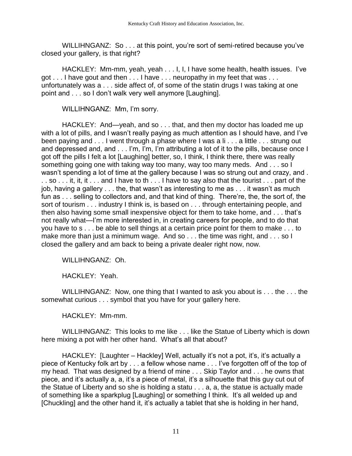WILLIHNGANZ: So . . . at this point, you're sort of semi-retired because you've closed your gallery, is that right?

HACKLEY: Mm-mm, yeah, yeah . . . I, I, I have some health, health issues. I've got . . . I have gout and then . . . I have . . . neuropathy in my feet that was . . . unfortunately was a . . . side affect of, of some of the statin drugs I was taking at one point and . . . so I don't walk very well anymore [Laughing].

WILLIHNGANZ: Mm, I'm sorry.

HACKLEY: And—yeah, and so . . . that, and then my doctor has loaded me up with a lot of pills, and I wasn't really paying as much attention as I should have, and I've been paying and . . . I went through a phase where I was a li . . . a little . . . strung out and depressed and, and . . . I'm, I'm, I'm attributing a lot of it to the pills, because once I got off the pills I felt a lot [Laughing] better, so, I think, I think there, there was really something going one with taking way too many, way too many meds. And . . . so I wasn't spending a lot of time at the gallery because I was so strung out and crazy, and . .. so ... it, it, it ... and I have to th ... I have to say also that the tourist ... part of the job, having a gallery . . . the, that wasn't as interesting to me as . . . it wasn't as much fun as . . . selling to collectors and, and that kind of thing. There're, the, the sort of, the sort of tourism . . . industry I think is, is based on . . . through entertaining people, and then also having some small inexpensive object for them to take home, and . . . that's not really what—I'm more interested in, in creating careers for people, and to do that you have to s . . . be able to sell things at a certain price point for them to make . . . to make more than just a minimum wage. And so . . . the time was right, and . . . so I closed the gallery and am back to being a private dealer right now, now.

WILLIHNGANZ: Oh.

HACKLEY: Yeah.

WILLIHNGANZ: Now, one thing that I wanted to ask you about is . . . the . . . the somewhat curious . . . symbol that you have for your gallery here.

HACKLEY: Mm-mm.

WILLIHNGANZ: This looks to me like . . . like the Statue of Liberty which is down here mixing a pot with her other hand. What's all that about?

HACKLEY: [Laughter – Hackley] Well, actually it's not a pot, it's, it's actually a piece of Kentucky folk art by . . . a fellow whose name . . . I've forgotten off of the top of my head. That was designed by a friend of mine . . . Skip Taylor and . . . he owns that piece, and it's actually a, a, it's a piece of metal, it's a silhouette that this guy cut out of the Statue of Liberty and so she is holding a statu . . . a, a, the statue is actually made of something like a sparkplug [Laughing] or something I think. It's all welded up and [Chuckling] and the other hand it, it's actually a tablet that she is holding in her hand,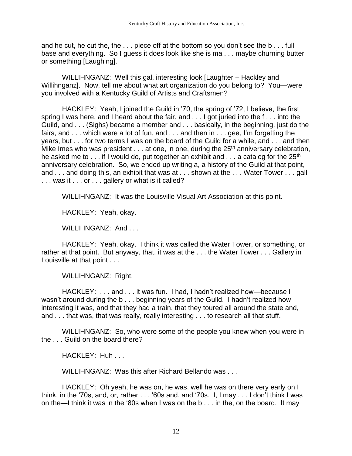and he cut, he cut the, the . . . piece off at the bottom so you don't see the b . . . full base and everything. So I guess it does look like she is ma . . . maybe churning butter or something [Laughing].

WILLIHNGANZ: Well this gal, interesting look [Laughter – Hackley and Willihnganz]. Now, tell me about what art organization do you belong to? You—were you involved with a Kentucky Guild of Artists and Craftsmen?

HACKLEY: Yeah, I joined the Guild in '70, the spring of '72, I believe, the first spring I was here, and I heard about the fair, and . . . I got juried into the f... into the Guild, and . . . (Sighs) became a member and . . . basically, in the beginning, just do the fairs, and . . . which were a lot of fun, and . . . and then in . . . gee, I'm forgetting the years, but . . . for two terms I was on the board of the Guild for a while, and . . . and then Mike Imes who was president  $\dots$  at one, in one, during the 25<sup>th</sup> anniversary celebration, he asked me to  $\dots$  if I would do, put together an exhibit and  $\dots$  a catalog for the 25<sup>th</sup> anniversary celebration. So, we ended up writing a, a history of the Guild at that point, and . . . and doing this, an exhibit that was at . . . shown at the . . . Water Tower . . . gall . . . was it . . . or . . . gallery or what is it called?

WILLIHNGANZ: It was the Louisville Visual Art Association at this point.

HACKLEY: Yeah, okay.

WILLIHNGANZ: And . . .

HACKLEY: Yeah, okay. I think it was called the Water Tower, or something, or rather at that point. But anyway, that, it was at the . . . the Water Tower . . . Gallery in Louisville at that point . . .

WILLIHNGANZ: Right.

HACKLEY: . . . and . . . it was fun. I had, I hadn't realized how—because I wasn't around during the b . . . beginning years of the Guild. I hadn't realized how interesting it was, and that they had a train, that they toured all around the state and, and . . . that was, that was really, really interesting . . . to research all that stuff.

WILLIHNGANZ: So, who were some of the people you knew when you were in the . . . Guild on the board there?

HACKLEY: Huh . . .

WILLIHNGANZ: Was this after Richard Bellando was . . .

HACKLEY: Oh yeah, he was on, he was, well he was on there very early on I think, in the '70s, and, or, rather . . . '60s and, and '70s. I, I may . . . I don't think I was on the—I think it was in the '80s when I was on the b . . . in the, on the board. It may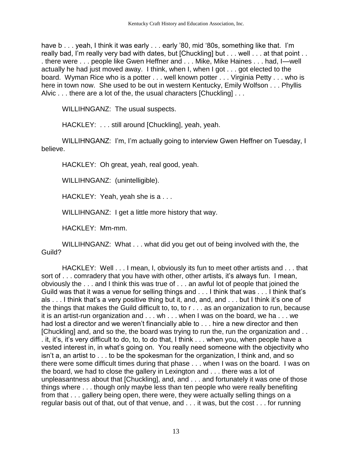have b . . . yeah, I think it was early . . . early '80, mid '80s, something like that. I'm really bad, I'm really very bad with dates, but [Chuckling] but . . . well . . . at that point . . . there were . . . people like Gwen Heffner and . . . Mike, Mike Haines . . . had, I—well actually he had just moved away. I think, when I, when I got . . . got elected to the board. Wyman Rice who is a potter . . . well known potter . . . Virginia Petty . . . who is here in town now. She used to be out in western Kentucky, Emily Wolfson . . . Phyllis Alvic . . . there are a lot of the, the usual characters [Chuckling] . . .

WILLIHNGANZ: The usual suspects.

HACKLEY: . . . still around [Chuckling], yeah, yeah.

WILLIHNGANZ: I'm, I'm actually going to interview Gwen Heffner on Tuesday, I believe.

HACKLEY: Oh great, yeah, real good, yeah.

WILLIHNGANZ: (unintelligible).

HACKLEY: Yeah, yeah she is a . . .

WILLIHNGANZ: I get a little more history that way.

HACKLEY: Mm-mm.

WILLIHNGANZ: What . . . what did you get out of being involved with the, the Guild?

HACKLEY: Well . . . I mean, I, obviously its fun to meet other artists and . . . that sort of . . . comradery that you have with other, other artists, it's always fun. I mean, obviously the . . . and I think this was true of . . . an awful lot of people that joined the Guild was that it was a venue for selling things and . . . I think that was . . . I think that's als . . . I think that's a very positive thing but it, and, and, and . . . but I think it's one of the things that makes the Guild difficult to, to, to r . . . as an organization to run, because it is an artist-run organization and . . . wh . . . when I was on the board, we ha . . . we had lost a director and we weren't financially able to . . . hire a new director and then [Chuckling] and, and so the, the board was trying to run the, run the organization and . . . it, it's, it's very difficult to do, to, to do that, I think . . . when you, when people have a vested interest in, in what's going on. You really need someone with the objectivity who isn't a, an artist to . . . to be the spokesman for the organization, I think and, and so there were some difficult times during that phase . . . when I was on the board. I was on the board, we had to close the gallery in Lexington and . . . there was a lot of unpleasantness about that [Chuckling], and, and . . . and fortunately it was one of those things where . . . though only maybe less than ten people who were really benefiting from that . . . gallery being open, there were, they were actually selling things on a regular basis out of that, out of that venue, and . . . it was, but the cost . . . for running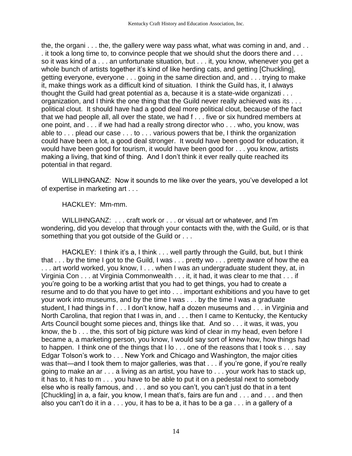the, the organi . . . the, the gallery were way pass what, what was coming in and, and . . . it took a long time to, to convince people that we should shut the doors there and . . . so it was kind of a . . . an unfortunate situation, but . . . it, you know, whenever you get a whole bunch of artists together it's kind of like herding cats, and getting [Chuckling], getting everyone, everyone . . . going in the same direction and, and . . . trying to make it, make things work as a difficult kind of situation. I think the Guild has, it, I always thought the Guild had great potential as a, because it is a state-wide organizati . . . organization, and I think the one thing that the Guild never really achieved was its . . . political clout. It should have had a good deal more political clout, because of the fact that we had people all, all over the state, we had f . . . five or six hundred members at one point, and . . . if we had had a really strong director who . . . who, you know, was able to . . . plead our case . . . to . . . various powers that be, I think the organization could have been a lot, a good deal stronger. It would have been good for education, it would have been good for tourism, it would have been good for . . . you know, artists making a living, that kind of thing. And I don't think it ever really quite reached its potential in that regard.

WILLIHNGANZ: Now it sounds to me like over the years, you've developed a lot of expertise in marketing art . . .

HACKLEY: Mm-mm.

WILLIHNGANZ: . . . craft work or . . . or visual art or whatever, and I'm wondering, did you develop that through your contacts with the, with the Guild, or is that something that you got outside of the Guild or . . .

HACKLEY: I think it's a, I think . . . well partly through the Guild, but, but I think that . . . by the time I got to the Guild, I was . . . pretty wo . . . pretty aware of how the ea ... art world worked, you know, I... when I was an undergraduate student they, at, in Virginia Con . . . at Virginia Commonwealth . . . it, it had, it was clear to me that . . . if you're going to be a working artist that you had to get things, you had to create a resume and to do that you have to get into . . . important exhibitions and you have to get your work into museums, and by the time I was . . . by the time I was a graduate student, I had things in f . . . I don't know, half a dozen museums and . . . in Virginia and North Carolina, that region that I was in, and . . . then I came to Kentucky, the Kentucky Arts Council bought some pieces and, things like that. And so . . . it was, it was, you know, the b . . . the, this sort of big picture was kind of clear in my head, even before I became a, a marketing person, you know, I would say sort of knew how, how things had to happen. I think one of the things that I lo . . . one of the reasons that I took s . . . say Edgar Tolson's work to . . . New York and Chicago and Washington, the major cities was that—and I took them to major galleries, was that . . . if you're gone, if you're really going to make an ar . . . a living as an artist, you have to . . . your work has to stack up, it has to, it has to m . . . you have to be able to put it on a pedestal next to somebody else who is really famous, and . . . and so you can't, you can't just do that in a tent [Chuckling] in a, a fair, you know, I mean that's, fairs are fun and . . . and . . . and then also you can't do it in a . . . you, it has to be a, it has to be a ga . . . in a gallery of a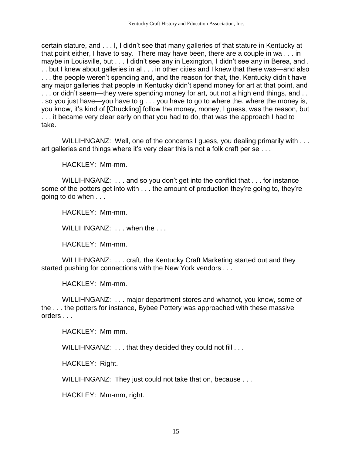certain stature, and . . . I, I didn't see that many galleries of that stature in Kentucky at that point either, I have to say. There may have been, there are a couple in wa . . . in maybe in Louisville, but . . . I didn't see any in Lexington, I didn't see any in Berea, and . . . but I knew about galleries in al . . . in other cities and I knew that there was—and also . . . the people weren't spending and, and the reason for that, the, Kentucky didn't have any major galleries that people in Kentucky didn't spend money for art at that point, and ... or didn't seem—they were spending money for art, but not a high end things, and .. . so you just have—you have to g . . . you have to go to where the, where the money is, you know, it's kind of [Chuckling] follow the money, money, I guess, was the reason, but . . . it became very clear early on that you had to do, that was the approach I had to take.

WILLIHNGANZ: Well, one of the concerns I guess, you dealing primarily with ... art galleries and things where it's very clear this is not a folk craft per se . . .

HACKLEY: Mm-mm.

WILLIHNGANZ: . . . and so you don't get into the conflict that . . . for instance some of the potters get into with . . . the amount of production they're going to, they're going to do when . . .

HACKLEY: Mm-mm.

WILLIHNGANZ: ... when the ...

HACKLEY: Mm-mm.

WILLIHNGANZ: . . . craft, the Kentucky Craft Marketing started out and they started pushing for connections with the New York vendors . . .

HACKLEY: Mm-mm.

WILLIHNGANZ: . . . major department stores and whatnot, you know, some of the . . . the potters for instance, Bybee Pottery was approached with these massive orders . . .

HACKI FY: Mm-mm.

WILLIHNGANZ: . . . that they decided they could not fill . . .

HACKLEY: Right.

WILLIHNGANZ: They just could not take that on, because . . .

HACKLEY: Mm-mm, right.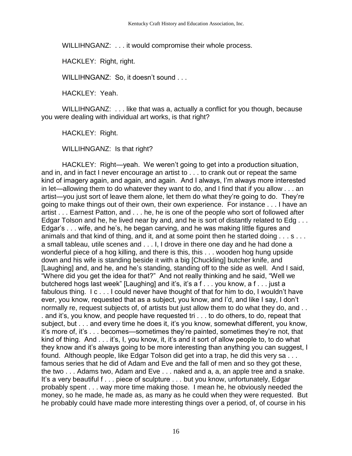WILLIHNGANZ: . . . it would compromise their whole process.

HACKLEY: Right, right.

WILLIHNGANZ: So, it doesn't sound . . .

HACKLEY: Yeah.

WILLIHNGANZ: . . . like that was a, actually a conflict for you though, because you were dealing with individual art works, is that right?

HACKLEY: Right.

WILLIHNGANZ: Is that right?

HACKLEY: Right—yeah. We weren't going to get into a production situation, and in, and in fact I never encourage an artist to . . . to crank out or repeat the same kind of imagery again, and again, and again. And I always, I'm always more interested in let—allowing them to do whatever they want to do, and I find that if you allow . . . an artist—you just sort of leave them alone, let them do what they're going to do. They're going to make things out of their own, their own experience. For instance . . . I have an artist . . . Earnest Patton, and . . . he, he is one of the people who sort of followed after Edgar Tolson and he, he lived near by and, and he is sort of distantly related to Edg . . . Edgar's . . . wife, and he's, he began carving, and he was making little figures and animals and that kind of thing, and it, and at some point then he started doing . . . s . . . a small tableau, utile scenes and . . . I, I drove in there one day and he had done a wonderful piece of a hog killing, and there is this, this . . . wooden hog hung upside down and his wife is standing beside it with a big [Chuckling] butcher knife, and [Laughing] and, and he, and he's standing, standing off to the side as well. And I said, "Where did you get the idea for that?" And not really thinking and he said, "Well we butchered hogs last week" [Laughing] and it's, it's a f . . . you know, a f . . . just a fabulous thing. I c . . . I could never have thought of that for him to do, I wouldn't have ever, you know, requested that as a subject, you know, and I'd, and like I say, I don't normally re, request subjects of, of artists but just allow them to do what they do, and . . . and it's, you know, and people have requested tri . . . to do others, to do, repeat that subject, but . . . and every time he does it, it's you know, somewhat different, you know, it's more of, it's . . . becomes—sometimes they're painted, sometimes they're not, that kind of thing. And . . . it's, I, you know, it, it's and it sort of allow people to, to do what they know and it's always going to be more interesting than anything you can suggest, I found. Although people, like Edgar Tolson did get into a trap, he did this very sa . . . famous series that he did of Adam and Eve and the fall of men and so they got these, the two . . . Adams two, Adam and Eve . . . naked and a, a, an apple tree and a snake. It's a very beautiful f . . . piece of sculpture . . . but you know, unfortunately, Edgar probably spent . . . way more time making those. I mean he, he obviously needed the money, so he made, he made as, as many as he could when they were requested. But he probably could have made more interesting things over a period, of, of course in his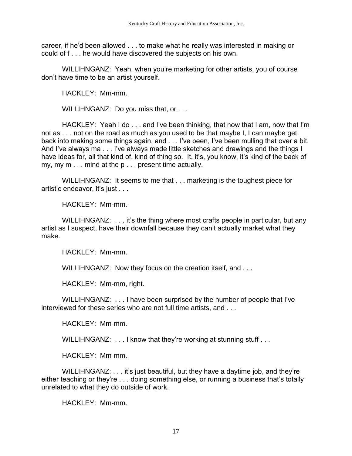career, if he'd been allowed . . . to make what he really was interested in making or could of f . . . he would have discovered the subjects on his own.

WILLIHNGANZ: Yeah, when you're marketing for other artists, you of course don't have time to be an artist yourself.

HACKLEY: Mm-mm.

WILLIHNGANZ: Do you miss that, or . . .

HACKLEY: Yeah I do . . . and I've been thinking, that now that I am, now that I'm not as . . . not on the road as much as you used to be that maybe I, I can maybe get back into making some things again, and . . . I've been, I've been mulling that over a bit. And I've always ma . . . I've always made little sketches and drawings and the things I have ideas for, all that kind of, kind of thing so. It, it's, you know, it's kind of the back of my, my m . . . mind at the p . . . present time actually.

WILLIHNGANZ: It seems to me that . . . marketing is the toughest piece for artistic endeavor, it's just . . .

HACKLEY: Mm-mm.

WILLIHNGANZ: ... it's the thing where most crafts people in particular, but any artist as I suspect, have their downfall because they can't actually market what they make.

HACKLEY: Mm-mm.

WILLIHNGANZ: Now they focus on the creation itself, and . . .

HACKLEY: Mm-mm, right.

WILLIHNGANZ: . . . I have been surprised by the number of people that I've interviewed for these series who are not full time artists, and . . .

HACKLEY: Mm-mm.

WILLIHNGANZ: ... I know that they're working at stunning stuff ...

HACKLEY: Mm-mm.

WILLIHNGANZ: . . . it's just beautiful, but they have a daytime job, and they're either teaching or they're . . . doing something else, or running a business that's totally unrelated to what they do outside of work.

HACKLEY: Mm-mm.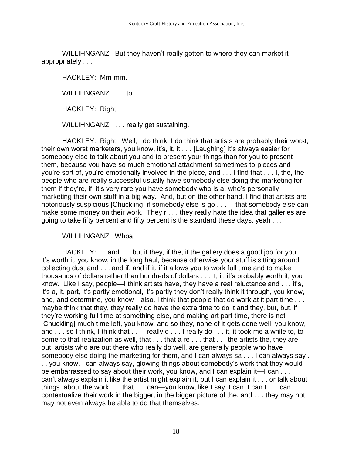WILLIHNGANZ: But they haven't really gotten to where they can market it appropriately . . .

HACKLEY: Mm-mm.

WILLIHNGANZ: . . . to . . .

HACKLEY: Right.

WILLIHNGANZ: . . . really get sustaining.

HACKLEY: Right. Well, I do think, I do think that artists are probably their worst, their own worst marketers, you know, it's, it, it . . . [Laughing] it's always easier for somebody else to talk about you and to present your things than for you to present them, because you have so much emotional attachment sometimes to pieces and you're sort of, you're emotionally involved in the piece, and . . . I find that . . . I, the, the people who are really successful usually have somebody else doing the marketing for them if they're, if, it's very rare you have somebody who is a, who's personally marketing their own stuff in a big way. And, but on the other hand, I find that artists are notoriously suspicious [Chuckling] if somebody else is go . . . —that somebody else can make some money on their work. They r . . . they really hate the idea that galleries are going to take fifty percent and fifty percent is the standard these days, yeah . . .

WILLIHNGANZ: Whoa!

HACKLEY: . . . and . . . but if they, if the, if the gallery does a good job for you . . . it's worth it, you know, in the long haul, because otherwise your stuff is sitting around collecting dust and . . . and if, and if it, if it allows you to work full time and to make thousands of dollars rather than hundreds of dollars . . . it, it, it's probably worth it, you know. Like I say, people—I think artists have, they have a real reluctance and . . . it's, it's a, it, part, it's partly emotional, it's partly they don't really think it through, you know, and, and determine, you know—also, I think that people that do work at it part time . . . maybe think that they, they really do have the extra time to do it and they, but, but, if they're working full time at something else, and making art part time, there is not [Chuckling] much time left, you know, and so they, none of it gets done well, you know, and . . . so I think, I think that . . . I really d . . . I really do . . . it, it took me a while to, to come to that realization as well, that  $\dots$  that a re  $\dots$  that  $\dots$  the artists the, they are out, artists who are out there who really do well, are generally people who have somebody else doing the marketing for them, and I can always sa . . . I can always say . . . you know, I can always say, glowing things about somebody's work that they would be embarrassed to say about their work, you know, and I can explain it—I can . . . I can't always explain it like the artist might explain it, but I can explain it . . . or talk about things, about the work . . . that . . . can—you know, like I say, I can, I can t . . . can contextualize their work in the bigger, in the bigger picture of the, and . . . they may not, may not even always be able to do that themselves.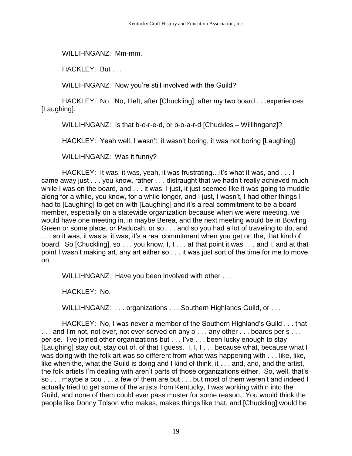WILLIHNGANZ: Mm-mm.

HACKLEY: But . . .

WILLIHNGANZ: Now you're still involved with the Guild?

HACKLEY: No. No, I left, after [Chuckling], after my two board . . .experiences [Laughing].

WILLIHNGANZ: Is that b-o-r-e-d, or b-o-a-r-d [Chuckles – Willihnganz]?

HACKLEY: Yeah well, I wasn't, it wasn't boring, it was not boring [Laughing].

WILLIHNGANZ: Was it funny?

HACKLEY: It was, it was, yeah, it was frustrating…it's what it was, and . . . I came away just . . . you know, rather . . . distraught that we hadn't really achieved much while I was on the board, and . . . it was, I just, it just seemed like it was going to muddle along for a while, you know, for a while longer, and I just, I wasn't, I had other things I had to [Laughing] to get on with [Laughing] and it's a real commitment to be a board member, especially on a statewide organization because when we were meeting, we would have one meeting in, in maybe Berea, and the next meeting would be in Bowling Green or some place, or Paducah, or so . . . and so you had a lot of traveling to do, and . . . so it was, it was a, it was, it's a real commitment when you get on the, that kind of board. So [Chuckling], so . . . you know, I, I . . . at that point it was . . . and I, and at that point I wasn't making art, any art either so . . . it was just sort of the time for me to move on.

WILLIHNGANZ: Have you been involved with other . . .

HACKLEY: No.

WILLIHNGANZ: ... organizations ... Southern Highlands Guild, or ...

HACKLEY: No, I was never a member of the Southern Highland's Guild . . . that ... and I'm not, not ever, not ever served on any o ... any other ... boards per s ... per se. I've joined other organizations but . . . I've . . . been lucky enough to stay [Laughing] stay out, stay out of, of that I guess. I, I, I... because what, because what I was doing with the folk art was so different from what was happening with . . . like, like, like when the, what the Guild is doing and I kind of think, it . . . and, and, and the artist, the folk artists I'm dealing with aren't parts of those organizations either. So, well, that's so . . . maybe a cou . . . a few of them are but . . . but most of them weren't and indeed I actually tried to get some of the artists from Kentucky, I was working within into the Guild, and none of them could ever pass muster for some reason. You would think the people like Donny Tolson who makes, makes things like that, and [Chuckling] would be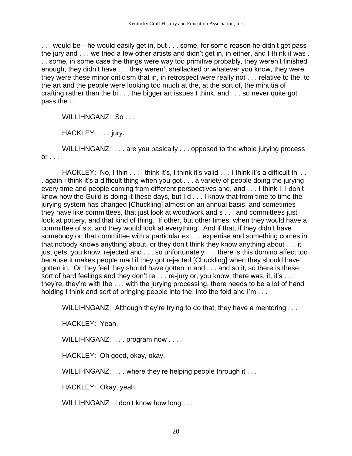. . . would be—he would easily get in, but . . . some, for some reason he didn't get pass the jury and . . . we tried a few other artists and didn't get in, in either, and I think it was . . . some, in some case the things were way too primitive probably, they weren't finished enough, they didn't have . . . they weren't shellacked or whatever you know, they were, they were these minor criticism that in, in retrospect were really not . . . relative to the, to the art and the people were looking too much at the, at the sort of, the minutia of crafting rather than the bi . . . the bigger art issues I think, and . . . so never quite got pass the . . .

WILLIHNGANZ: So...

HACKLEY: . . . jury.

WILLIHNGANZ: . . . are you basically . . . opposed to the whole jurying process  $or \ldots$ 

HACKLEY: No, I thin . . . I think it's, I think it's valid . . . I think it's a difficult thi . . . again I think it's a difficult thing when you got . . . a variety of people doing the jurying every time and people coming from different perspectives and, and . . . I think I, I don't know how the Guild is doing it these days, but I d . . . I know that from time to time the jurying system has changed [Chuckling] almost on an annual basis, and sometimes they have like committees, that just look at woodwork and s . . . and committees just look at pottery, and that kind of thing. If other, but other times, when they would have a committee of six, and they would look at everything. And if that, if they didn't have somebody on that committee with a particular ex . . . expertise and something comes in that nobody knows anything about, or they don't think they know anything about . . . it just gets, you know, rejected and . . . so unfortunately . . . there is this domino affect too because it makes people mad if they got rejected [Chuckling] when they should have gotten in. Or they feel they should have gotten in and . . . and so it, so there is these sort of hard feelings and they don't re . . . re-jury or, you know, there was, it, it's . . . they're, they're with the . . . with the jurying processing, there needs to be a lot of hand holding I think and sort of bringing people into the, into the fold and I'm . . .

WILLIHNGANZ: Although they're trying to do that, they have a mentoring ...

HACKLEY: Yeah.

WILLIHNGANZ: ... program now ...

HACKLEY: Oh good, okay, okay.

WILLIHNGANZ: ... where they're helping people through it ...

HACKLEY: Okay, yeah.

WILLIHNGANZ: I don't know how long . . .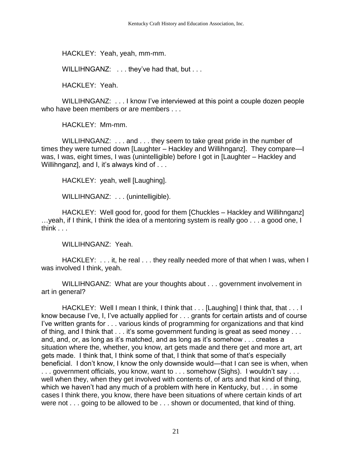HACKLEY: Yeah, yeah, mm-mm.

WILLIHNGANZ: ... they've had that, but ...

HACKLEY: Yeah.

WILLIHNGANZ: . . . I know I've interviewed at this point a couple dozen people who have been members or are members ...

HACKLEY: Mm-mm.

WILLIHNGANZ: . . . and . . . they seem to take great pride in the number of times they were turned down [Laughter – Hackley and Willihnganz]. They compare—I was, I was, eight times, I was (unintelligible) before I got in [Laughter – Hackley and Willihnganz], and I, it's always kind of . . .

HACKLEY: yeah, well [Laughing].

WILLIHNGANZ: . . . (unintelligible).

HACKLEY: Well good for, good for them [Chuckles – Hackley and Willihnganz] …yeah, if I think, I think the idea of a mentoring system is really goo . . . a good one, I think  $\ldots$ 

WILLIHNGANZ: Yeah.

HACKLEY: ... it, he real ... they really needed more of that when I was, when I was involved I think, yeah.

WILLIHNGANZ: What are your thoughts about . . . government involvement in art in general?

HACKLEY: Well I mean I think, I think that . . . [Laughing] I think that, that . . . I know because I've, I, I've actually applied for . . . grants for certain artists and of course I've written grants for . . . various kinds of programming for organizations and that kind of thing, and I think that . . . it's some government funding is great as seed money . . . and, and, or, as long as it's matched, and as long as it's somehow . . . creates a situation where the, whether, you know, art gets made and there get and more art, art gets made. I think that, I think some of that, I think that some of that's especially beneficial. I don't know, I know the only downside would—that I can see is when, when . . . government officials, you know, want to . . . somehow (Sighs). I wouldn't say . . . well when they, when they get involved with contents of, of arts and that kind of thing, which we haven't had any much of a problem with here in Kentucky, but . . . in some cases I think there, you know, there have been situations of where certain kinds of art were not . . . going to be allowed to be . . . shown or documented, that kind of thing.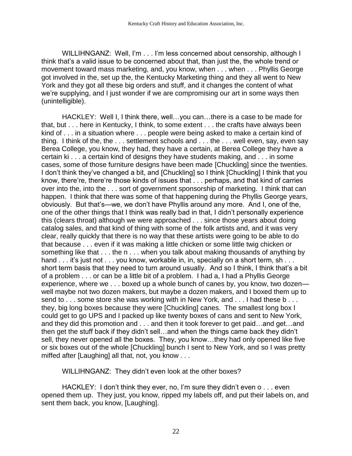WILLIHNGANZ: Well, I'm . . . I'm less concerned about censorship, although I think that's a valid issue to be concerned about that, than just the, the whole trend or movement toward mass marketing, and, you know, when . . . when . . . Phyllis George got involved in the, set up the, the Kentucky Marketing thing and they all went to New York and they got all these big orders and stuff, and it changes the content of what we're supplying, and I just wonder if we are compromising our art in some ways then (unintelligible).

HACKLEY: Well I, I think there, well…you can…there is a case to be made for that, but . . . here in Kentucky, I think, to some extent . . . the crafts have always been kind of . . . in a situation where . . . people were being asked to make a certain kind of thing. I think of the, the . . . settlement schools and . . . the . . . well even, say, even say Berea College, you know, they had, they have a certain, at Berea College they have a certain ki . . . a certain kind of designs they have students making, and . . . in some cases, some of those furniture designs have been made [Chuckling] since the twenties. I don't think they've changed a bit, and [Chuckling] so I think [Chuckling] I think that you know, there're, there're those kinds of issues that . . . perhaps, and that kind of carries over into the, into the . . . sort of government sponsorship of marketing. I think that can happen. I think that there was some of that happening during the Phyllis George years, obviously. But that's—we, we don't have Phyllis around any more. And I, one of the, one of the other things that I think was really bad in that, I didn't personally experience this (clears throat) although we were approached . . . since those years about doing catalog sales, and that kind of thing with some of the folk artists and, and it was very clear, really quickly that there is no way that these artists were going to be able to do that because . . . even if it was making a little chicken or some little twig chicken or something like that . . . the n . . . when you talk about making thousands of anything by hand . . . it's just not . . . you know, workable in, in, specially on a short term, sh . . . short term basis that they need to turn around usually. And so I think, I think that's a bit of a problem . . . or can be a little bit of a problem. I had a, I had a Phyllis George experience, where we . . . boxed up a whole bunch of canes by, you know, two dozen well maybe not two dozen makers, but maybe a dozen makers, and I boxed them up to send to . . . some store she was working with in New York, and . . . I had these b . . . they, big long boxes because they were [Chuckling] canes. The smallest long box I could get to go UPS and I packed up like twenty boxes of cans and sent to New York, and they did this promotion and . . . and then it took forever to get paid…and get…and then get the stuff back if they didn't sell…and when the things came back they didn't sell, they never opened all the boxes. They, you know…they had only opened like five or six boxes out of the whole [Chuckling] bunch I sent to New York, and so I was pretty miffed after [Laughing] all that, not, you know . . .

WILLIHNGANZ: They didn't even look at the other boxes?

HACKLEY: I don't think they ever, no, I'm sure they didn't even o . . . even opened them up. They just, you know, ripped my labels off, and put their labels on, and sent them back, you know, [Laughing].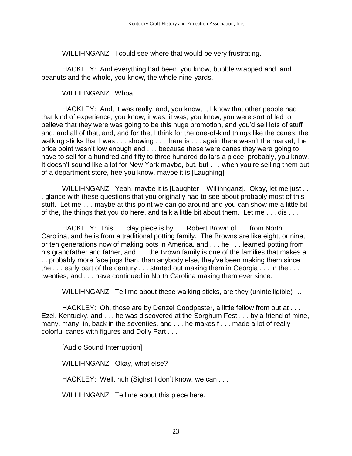WILLIHNGANZ: I could see where that would be very frustrating.

HACKLEY: And everything had been, you know, bubble wrapped and, and peanuts and the whole, you know, the whole nine-yards.

WILLIHNGANZ: Whoa!

HACKLEY: And, it was really, and, you know, I, I know that other people had that kind of experience, you know, it was, it was, you know, you were sort of led to believe that they were was going to be this huge promotion, and you'd sell lots of stuff and, and all of that, and, and for the, I think for the one-of-kind things like the canes, the walking sticks that I was . . . showing . . . there is . . . again there wasn't the market, the price point wasn't low enough and . . . because these were canes they were going to have to sell for a hundred and fifty to three hundred dollars a piece, probably, you know. It doesn't sound like a lot for New York maybe, but, but . . . when you're selling them out of a department store, hee you know, maybe it is [Laughing].

WILLIHNGANZ: Yeah, maybe it is [Laughter – Willihnganz]. Okay, let me just . . . glance with these questions that you originally had to see about probably most of this stuff. Let me . . . maybe at this point we can go around and you can show me a little bit of the, the things that you do here, and talk a little bit about them. Let me . . . dis . . .

HACKLEY: This . . . clay piece is by . . . Robert Brown of . . . from North Carolina, and he is from a traditional potting family. The Browns are like eight, or nine, or ten generations now of making pots in America, and . . . he . . . learned potting from his grandfather and father, and . . . the Brown family is one of the families that makes a . . . probably more face jugs than, than anybody else, they've been making them since the ... early part of the century ... started out making them in Georgia ... in the ... twenties, and . . . have continued in North Carolina making them ever since.

WILLIHNGANZ: Tell me about these walking sticks, are they (unintelligible) …

HACKLEY: Oh, those are by Denzel Goodpaster, a little fellow from out at . . . Ezel, Kentucky, and . . . he was discovered at the Sorghum Fest . . . by a friend of mine, many, many, in, back in the seventies, and . . . he makes f . . . made a lot of really colorful canes with figures and Dolly Part . . .

[Audio Sound Interruption]

WILLIHNGANZ: Okay, what else?

HACKLEY: Well, huh (Sighs) I don't know, we can . . .

WILLIHNGANZ: Tell me about this piece here.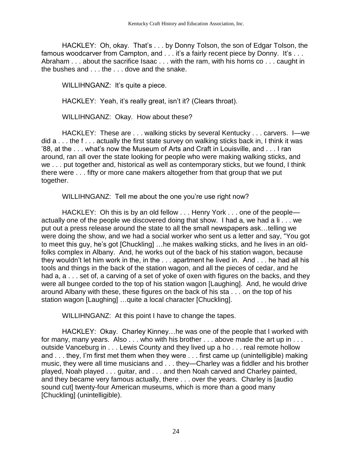HACKLEY: Oh, okay. That's . . . by Donny Tolson, the son of Edgar Tolson, the famous woodcarver from Campton, and . . . it's a fairly recent piece by Donny. It's . . . Abraham . . . about the sacrifice Isaac . . . with the ram, with his horns co . . . caught in the bushes and . . . the . . . dove and the snake.

WILLIHNGANZ: It's quite a piece.

HACKLEY: Yeah, it's really great, isn't it? (Clears throat).

WILLIHNGANZ: Okay. How about these?

HACKLEY: These are . . . walking sticks by several Kentucky . . . carvers. I—we did a . . . the f . . . actually the first state survey on walking sticks back in, I think it was '88, at the . . . what's now the Museum of Arts and Craft in Louisville, and . . . I ran around, ran all over the state looking for people who were making walking sticks, and we . . . put together and, historical as well as contemporary sticks, but we found, I think there were . . . fifty or more cane makers altogether from that group that we put together.

WILLIHNGANZ: Tell me about the one you're use right now?

HACKLEY: Oh this is by an old fellow . . . Henry York . . . one of the peopleactually one of the people we discovered doing that show. I had a, we had a li . . . we put out a press release around the state to all the small newspapers ask…telling we were doing the show, and we had a social worker who sent us a letter and say, "You got to meet this guy, he's got [Chuckling] …he makes walking sticks, and he lives in an oldfolks complex in Albany. And, he works out of the back of his station wagon, because they wouldn't let him work in the, in the . . . apartment he lived in. And . . . he had all his tools and things in the back of the station wagon, and all the pieces of cedar, and he had a, a . . . set of, a carving of a set of yoke of oxen with figures on the backs, and they were all bungee corded to the top of his station wagon [Laughing]. And, he would drive around Albany with these, these figures on the back of his sta . . . on the top of his station wagon [Laughing] …quite a local character [Chuckling].

WILLIHNGANZ: At this point I have to change the tapes.

HACKLEY: Okay. Charley Kinney…he was one of the people that I worked with for many, many years. Also . . . who with his brother . . . above made the art up in . . . outside Vanceburg in . . . Lewis County and they lived up a ho . . . real remote hollow and . . . they, I'm first met them when they were . . . first came up (unintelligible) making music, they were all time musicians and . . . they—Charley was a fiddler and his brother played, Noah played . . . guitar, and . . . and then Noah carved and Charley painted, and they became very famous actually, there . . . over the years. Charley is [audio sound cut] twenty-four American museums, which is more than a good many [Chuckling] (unintelligible).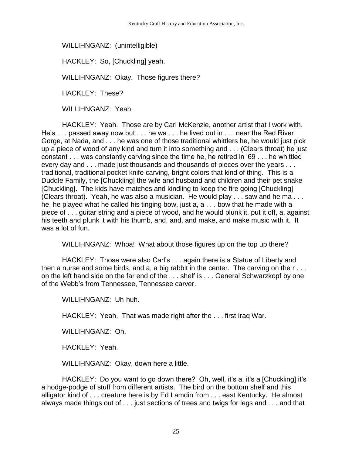WILLIHNGANZ: (unintelligible)

HACKLEY: So, [Chuckling] yeah.

WILLIHNGANZ: Okay. Those figures there?

HACKLEY: These?

WILLIHNGANZ: Yeah.

HACKLEY: Yeah. Those are by Carl McKenzie, another artist that I work with. He's . . . passed away now but . . . he wa . . . he lived out in . . . near the Red River Gorge, at Nada, and . . . he was one of those traditional whittlers he, he would just pick up a piece of wood of any kind and turn it into something and . . . (Clears throat) he just constant . . . was constantly carving since the time he, he retired in '69 . . . he whittled every day and . . . made just thousands and thousands of pieces over the years . . . traditional, traditional pocket knife carving, bright colors that kind of thing. This is a Duddle Family, the [Chuckling] the wife and husband and children and their pet snake [Chuckling]. The kids have matches and kindling to keep the fire going [Chuckling] (Clears throat). Yeah, he was also a musician. He would play . . . saw and he ma . . . he, he played what he called his tinging bow, just a, a . . . bow that he made with a piece of . . . guitar string and a piece of wood, and he would plunk it, put it off, a, against his teeth and plunk it with his thumb, and, and, and make, and make music with it. It was a lot of fun.

WILLIHNGANZ: Whoa! What about those figures up on the top up there?

HACKLEY: Those were also Carl's . . . again there is a Statue of Liberty and then a nurse and some birds, and a, a big rabbit in the center. The carving on the r . . . on the left hand side on the far end of the . . . shelf is . . . General Schwarzkopf by one of the Webb's from Tennessee, Tennessee carver.

WILLIHNGANZ: Uh-huh.

HACKLEY: Yeah. That was made right after the . . . first Iraq War.

WILLIHNGANZ: Oh.

HACKLEY: Yeah.

WILLIHNGANZ: Okay, down here a little.

HACKLEY: Do you want to go down there? Oh, well, it's a, it's a [Chuckling] it's a hodge-podge of stuff from different artists. The bird on the bottom shelf and this alligator kind of . . . creature here is by Ed Lamdin from . . . east Kentucky. He almost always made things out of . . . just sections of trees and twigs for legs and . . . and that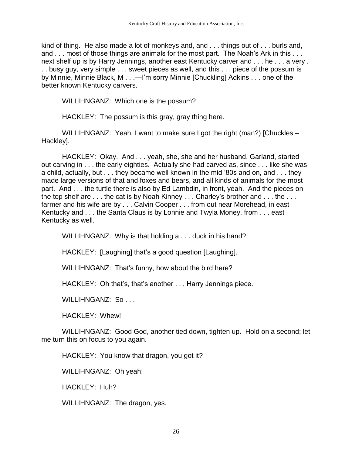kind of thing. He also made a lot of monkeys and, and . . . things out of . . . burls and, and . . . most of those things are animals for the most part. The Noah's Ark in this . . . next shelf up is by Harry Jennings, another east Kentucky carver and . . . he . . . a very . . . busy guy, very simple . . . sweet pieces as well, and this . . . piece of the possum is by Minnie, Minnie Black, M . . .—I'm sorry Minnie [Chuckling] Adkins . . . one of the better known Kentucky carvers.

WILLIHNGANZ: Which one is the possum?

HACKLEY: The possum is this gray, gray thing here.

WILLIHNGANZ: Yeah, I want to make sure I got the right (man?) [Chuckles – Hackley].

HACKLEY: Okay. And . . . yeah, she, she and her husband, Garland, started out carving in . . . the early eighties. Actually she had carved as, since . . . like she was a child, actually, but . . . they became well known in the mid '80s and on, and . . . they made large versions of that and foxes and bears, and all kinds of animals for the most part. And . . . the turtle there is also by Ed Lambdin, in front, yeah. And the pieces on the top shelf are . . . the cat is by Noah Kinney . . . Charley's brother and . . . the . . . farmer and his wife are by . . . Calvin Cooper . . . from out near Morehead, in east Kentucky and . . . the Santa Claus is by Lonnie and Twyla Money, from . . . east Kentucky as well.

WILLIHNGANZ: Why is that holding a . . . duck in his hand?

HACKLEY: [Laughing] that's a good question [Laughing].

WILLIHNGANZ: That's funny, how about the bird here?

HACKLEY: Oh that's, that's another . . . Harry Jennings piece.

WILLIHNGANZ: So...

HACKLEY: Whew!

WILLIHNGANZ: Good God, another tied down, tighten up. Hold on a second; let me turn this on focus to you again.

HACKLEY: You know that dragon, you got it?

WILLIHNGANZ: Oh yeah!

HACKLEY: Huh?

WILLIHNGANZ: The dragon, yes.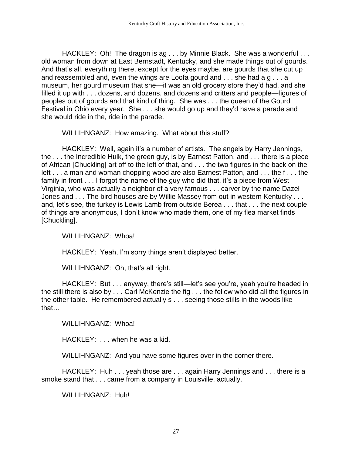HACKLEY: Oh! The dragon is ag . . . by Minnie Black. She was a wonderful . . . old woman from down at East Bernstadt, Kentucky, and she made things out of gourds. And that's all, everything there, except for the eyes maybe, are gourds that she cut up and reassembled and, even the wings are Loofa gourd and . . . she had a g . . . a museum, her gourd museum that she—it was an old grocery store they'd had, and she filled it up with . . . dozens, and dozens, and dozens and critters and people—figures of peoples out of gourds and that kind of thing. She was . . . the queen of the Gourd Festival in Ohio every year. She . . . she would go up and they'd have a parade and she would ride in the, ride in the parade.

WILLIHNGANZ: How amazing. What about this stuff?

HACKLEY: Well, again it's a number of artists. The angels by Harry Jennings, the . . . the Incredible Hulk, the green guy, is by Earnest Patton, and . . . there is a piece of African [Chuckling] art off to the left of that, and . . . the two figures in the back on the left . . . a man and woman chopping wood are also Earnest Patton, and . . . the f . . . the family in front . . . I forgot the name of the guy who did that, it's a piece from West Virginia, who was actually a neighbor of a very famous . . . carver by the name Dazel Jones and . . . The bird houses are by Willie Massey from out in western Kentucky . . . and, let's see, the turkey is Lewis Lamb from outside Berea . . . that . . . the next couple of things are anonymous, I don't know who made them, one of my flea market finds [Chuckling].

WILLIHNGANZ: Whoa!

HACKLEY: Yeah, I'm sorry things aren't displayed better.

WILLIHNGANZ: Oh, that's all right.

HACKLEY: But . . . anyway, there's still—let's see you're, yeah you're headed in the still there is also by . . . Carl McKenzie the fig . . . the fellow who did all the figures in the other table. He remembered actually s . . . seeing those stills in the woods like that…

WILLIHNGANZ: Whoa!

HACKLEY: . . . when he was a kid.

WILLIHNGANZ: And you have some figures over in the corner there.

HACKLEY: Huh . . . yeah those are . . . again Harry Jennings and . . . there is a smoke stand that . . . came from a company in Louisville, actually.

WILLIHNGANZ: Huh!